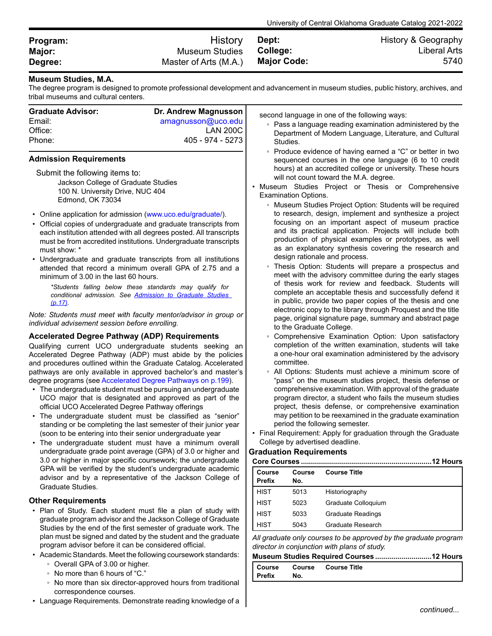| Program: | <b>History</b>        | Dept:       | History & Geography |
|----------|-----------------------|-------------|---------------------|
| Major:   | <b>Museum Studies</b> | College:    | <b>Liberal Arts</b> |
| Degree:  | Master of Arts (M.A.) | Major Code: | 5740                |

## **Museum Studies, M.A.**

The degree program is designed to promote professional development and advancement in museum studies, public history, archives, and<br>tribal museums and cultural centers tribal museums and cultural centers.

| tribal museums and cultural centers.                                                                                                                                                                                                                                                                                                                                                                                                                                                                                                                                                                                                                                                                                                                                                                                                                                                                                                                                                                                                                                                                                                                                                                                                                                                                                                                                                                                                                                                                                                |                                                                                                                               |                                |                                                                       |                                                                                                                                                                                                                                                                                                                                                                                                                                                                                                                                                                                                                                                                                                                                                                                                                                                                                                                                                                                                                                                                                                                                                                                                                                                                                                                                                                                                                                                                                                                                                                                                                                  |
|-------------------------------------------------------------------------------------------------------------------------------------------------------------------------------------------------------------------------------------------------------------------------------------------------------------------------------------------------------------------------------------------------------------------------------------------------------------------------------------------------------------------------------------------------------------------------------------------------------------------------------------------------------------------------------------------------------------------------------------------------------------------------------------------------------------------------------------------------------------------------------------------------------------------------------------------------------------------------------------------------------------------------------------------------------------------------------------------------------------------------------------------------------------------------------------------------------------------------------------------------------------------------------------------------------------------------------------------------------------------------------------------------------------------------------------------------------------------------------------------------------------------------------------|-------------------------------------------------------------------------------------------------------------------------------|--------------------------------|-----------------------------------------------------------------------|----------------------------------------------------------------------------------------------------------------------------------------------------------------------------------------------------------------------------------------------------------------------------------------------------------------------------------------------------------------------------------------------------------------------------------------------------------------------------------------------------------------------------------------------------------------------------------------------------------------------------------------------------------------------------------------------------------------------------------------------------------------------------------------------------------------------------------------------------------------------------------------------------------------------------------------------------------------------------------------------------------------------------------------------------------------------------------------------------------------------------------------------------------------------------------------------------------------------------------------------------------------------------------------------------------------------------------------------------------------------------------------------------------------------------------------------------------------------------------------------------------------------------------------------------------------------------------------------------------------------------------|
| <b>Graduate Advisor:</b><br>Email:<br>Office:<br>Phone:<br><b>Admission Requirements</b><br>Submit the following items to:                                                                                                                                                                                                                                                                                                                                                                                                                                                                                                                                                                                                                                                                                                                                                                                                                                                                                                                                                                                                                                                                                                                                                                                                                                                                                                                                                                                                          | Dr. Andrew Magnusson<br>amagnusson@uco.edu<br><b>LAN 200C</b><br>405 - 974 - 5273                                             |                                | Studies.                                                              | second language in one of the following ways:<br>• Pass a language reading examination administered by the<br>Department of Modern Language, Literature, and Cultural<br>• Produce evidence of having earned a "C" or better in two<br>sequenced courses in the one language (6 to 10 credit<br>hours) at an accredited college or university. These hours                                                                                                                                                                                                                                                                                                                                                                                                                                                                                                                                                                                                                                                                                                                                                                                                                                                                                                                                                                                                                                                                                                                                                                                                                                                                       |
| Jackson College of Graduate Studies<br>100 N. University Drive, NUC 404<br>Edmond, OK 73034<br>• Online application for admission (www.uco.edu/graduate/).<br>• Official copies of undergraduate and graduate transcripts from<br>each institution attended with all degrees posted. All transcripts<br>must be from accredited institutions. Undergraduate transcripts<br>must show: *<br>• Undergraduate and graduate transcripts from all institutions<br>attended that record a minimum overall GPA of 2.75 and a<br>minimum of 3.00 in the last 60 hours.<br>*Students falling below these standards may qualify for<br>conditional admission. See Admission to Graduate Studies<br>(p.17)<br>Note: Students must meet with faculty mentor/advisor in group or<br>individual advisement session before enrolling.<br><b>Accelerated Degree Pathway (ADP) Requirements</b><br>Qualifying current UCO undergraduate students seeking an<br>Accelerated Degree Pathway (ADP) must abide by the policies<br>and procedures outlined within the Graduate Catalog. Accelerated<br>pathways are only available in approved bachelor's and master's<br>degree programs (see Accelerated Degree Pathways on p.199).<br>• The undergraduate student must be pursuing an undergraduate<br>UCO major that is designated and approved as part of the<br>official UCO Accelerated Degree Pathway offerings<br>• The undergraduate student must be classified as "senior"<br>standing or be completing the last semester of their junior year |                                                                                                                               | <b>Graduation Requirements</b> | <b>Examination Options.</b><br>to the Graduate College.<br>committee. | will not count toward the M.A. degree.<br>· Museum Studies Project or Thesis or Comprehensive<br>• Museum Studies Project Option: Students will be required<br>to research, design, implement and synthesize a project<br>focusing on an important aspect of museum practice<br>and its practical application. Projects will include both<br>production of physical examples or prototypes, as well<br>as an explanatory synthesis covering the research and<br>design rationale and process.<br>• Thesis Option: Students will prepare a prospectus and<br>meet with the advisory committee during the early stages<br>of thesis work for review and feedback. Students will<br>complete an acceptable thesis and successfully defend it<br>in public, provide two paper copies of the thesis and one<br>electronic copy to the library through Proquest and the title<br>page, original signature page, summary and abstract page<br>• Comprehensive Examination Option: Upon satisfactory<br>completion of the written examination, students will take<br>a one-hour oral examination administered by the advisory<br>• All Options: Students must achieve a minimum score of<br>"pass" on the museum studies project, thesis defense or<br>comprehensive examination. With approval of the graduate<br>program director, a student who fails the museum studies<br>project, thesis defense, or comprehensive examination<br>may petition to be reexamined in the graduate examination<br>period the following semester.<br>• Final Requirement: Apply for graduation through the Graduate<br>College by advertised deadline. |
| undergraduate grade point average (GPA) of 3.0 or higher and                                                                                                                                                                                                                                                                                                                                                                                                                                                                                                                                                                                                                                                                                                                                                                                                                                                                                                                                                                                                                                                                                                                                                                                                                                                                                                                                                                                                                                                                        |                                                                                                                               |                                |                                                                       |                                                                                                                                                                                                                                                                                                                                                                                                                                                                                                                                                                                                                                                                                                                                                                                                                                                                                                                                                                                                                                                                                                                                                                                                                                                                                                                                                                                                                                                                                                                                                                                                                                  |
|                                                                                                                                                                                                                                                                                                                                                                                                                                                                                                                                                                                                                                                                                                                                                                                                                                                                                                                                                                                                                                                                                                                                                                                                                                                                                                                                                                                                                                                                                                                                     | 3.0 or higher in major specific coursework; the undergraduate<br>GPA will be verified by the student's undergraduate academic |                                |                                                                       |                                                                                                                                                                                                                                                                                                                                                                                                                                                                                                                                                                                                                                                                                                                                                                                                                                                                                                                                                                                                                                                                                                                                                                                                                                                                                                                                                                                                                                                                                                                                                                                                                                  |
|                                                                                                                                                                                                                                                                                                                                                                                                                                                                                                                                                                                                                                                                                                                                                                                                                                                                                                                                                                                                                                                                                                                                                                                                                                                                                                                                                                                                                                                                                                                                     | advisor and by a representative of the Jackson College of                                                                     | Course<br>Prefix               | Course<br>No.                                                         | <b>Course Title</b>                                                                                                                                                                                                                                                                                                                                                                                                                                                                                                                                                                                                                                                                                                                                                                                                                                                                                                                                                                                                                                                                                                                                                                                                                                                                                                                                                                                                                                                                                                                                                                                                              |
| Graduate Studies.                                                                                                                                                                                                                                                                                                                                                                                                                                                                                                                                                                                                                                                                                                                                                                                                                                                                                                                                                                                                                                                                                                                                                                                                                                                                                                                                                                                                                                                                                                                   |                                                                                                                               | HIST                           | 5013                                                                  | Historiography                                                                                                                                                                                                                                                                                                                                                                                                                                                                                                                                                                                                                                                                                                                                                                                                                                                                                                                                                                                                                                                                                                                                                                                                                                                                                                                                                                                                                                                                                                                                                                                                                   |
| <b>Other Requirements</b>                                                                                                                                                                                                                                                                                                                                                                                                                                                                                                                                                                                                                                                                                                                                                                                                                                                                                                                                                                                                                                                                                                                                                                                                                                                                                                                                                                                                                                                                                                           |                                                                                                                               | HIST                           | 5023                                                                  | Graduate Colloquium                                                                                                                                                                                                                                                                                                                                                                                                                                                                                                                                                                                                                                                                                                                                                                                                                                                                                                                                                                                                                                                                                                                                                                                                                                                                                                                                                                                                                                                                                                                                                                                                              |
|                                                                                                                                                                                                                                                                                                                                                                                                                                                                                                                                                                                                                                                                                                                                                                                                                                                                                                                                                                                                                                                                                                                                                                                                                                                                                                                                                                                                                                                                                                                                     | • Plan of Study. Each student must file a plan of study with                                                                  |                                |                                                                       |                                                                                                                                                                                                                                                                                                                                                                                                                                                                                                                                                                                                                                                                                                                                                                                                                                                                                                                                                                                                                                                                                                                                                                                                                                                                                                                                                                                                                                                                                                                                                                                                                                  |
|                                                                                                                                                                                                                                                                                                                                                                                                                                                                                                                                                                                                                                                                                                                                                                                                                                                                                                                                                                                                                                                                                                                                                                                                                                                                                                                                                                                                                                                                                                                                     | graduate program advisor and the Jackson College of Graduate                                                                  | <b>HIST</b>                    | 5033                                                                  | <b>Graduate Readings</b>                                                                                                                                                                                                                                                                                                                                                                                                                                                                                                                                                                                                                                                                                                                                                                                                                                                                                                                                                                                                                                                                                                                                                                                                                                                                                                                                                                                                                                                                                                                                                                                                         |
|                                                                                                                                                                                                                                                                                                                                                                                                                                                                                                                                                                                                                                                                                                                                                                                                                                                                                                                                                                                                                                                                                                                                                                                                                                                                                                                                                                                                                                                                                                                                     | Studies by the end of the first semester of graduate work. The                                                                | <b>HIST</b>                    | 5043                                                                  | Graduate Research                                                                                                                                                                                                                                                                                                                                                                                                                                                                                                                                                                                                                                                                                                                                                                                                                                                                                                                                                                                                                                                                                                                                                                                                                                                                                                                                                                                                                                                                                                                                                                                                                |
| program advisor before it can be considered official.                                                                                                                                                                                                                                                                                                                                                                                                                                                                                                                                                                                                                                                                                                                                                                                                                                                                                                                                                                                                                                                                                                                                                                                                                                                                                                                                                                                                                                                                               | plan must be signed and dated by the student and the graduate                                                                 |                                |                                                                       | All graduate only courses to be approved by the graduate program<br>director in conjunction with plans of study.                                                                                                                                                                                                                                                                                                                                                                                                                                                                                                                                                                                                                                                                                                                                                                                                                                                                                                                                                                                                                                                                                                                                                                                                                                                                                                                                                                                                                                                                                                                 |
|                                                                                                                                                                                                                                                                                                                                                                                                                                                                                                                                                                                                                                                                                                                                                                                                                                                                                                                                                                                                                                                                                                                                                                                                                                                                                                                                                                                                                                                                                                                                     | • Academic Standards. Meet the following coursework standards:                                                                |                                |                                                                       | Museum Studies Required Courses12 Hours                                                                                                                                                                                                                                                                                                                                                                                                                                                                                                                                                                                                                                                                                                                                                                                                                                                                                                                                                                                                                                                                                                                                                                                                                                                                                                                                                                                                                                                                                                                                                                                          |
| • Overall GPA of 3.00 or higher.                                                                                                                                                                                                                                                                                                                                                                                                                                                                                                                                                                                                                                                                                                                                                                                                                                                                                                                                                                                                                                                                                                                                                                                                                                                                                                                                                                                                                                                                                                    |                                                                                                                               | Course                         | Course                                                                | <b>Course Title</b>                                                                                                                                                                                                                                                                                                                                                                                                                                                                                                                                                                                                                                                                                                                                                                                                                                                                                                                                                                                                                                                                                                                                                                                                                                                                                                                                                                                                                                                                                                                                                                                                              |
| • No more than 6 hours of "C."                                                                                                                                                                                                                                                                                                                                                                                                                                                                                                                                                                                                                                                                                                                                                                                                                                                                                                                                                                                                                                                                                                                                                                                                                                                                                                                                                                                                                                                                                                      | • No more than six director-approved hours from traditional                                                                   | Prefix                         | No.                                                                   |                                                                                                                                                                                                                                                                                                                                                                                                                                                                                                                                                                                                                                                                                                                                                                                                                                                                                                                                                                                                                                                                                                                                                                                                                                                                                                                                                                                                                                                                                                                                                                                                                                  |
| correspondence courses.                                                                                                                                                                                                                                                                                                                                                                                                                                                                                                                                                                                                                                                                                                                                                                                                                                                                                                                                                                                                                                                                                                                                                                                                                                                                                                                                                                                                                                                                                                             |                                                                                                                               |                                |                                                                       |                                                                                                                                                                                                                                                                                                                                                                                                                                                                                                                                                                                                                                                                                                                                                                                                                                                                                                                                                                                                                                                                                                                                                                                                                                                                                                                                                                                                                                                                                                                                                                                                                                  |
|                                                                                                                                                                                                                                                                                                                                                                                                                                                                                                                                                                                                                                                                                                                                                                                                                                                                                                                                                                                                                                                                                                                                                                                                                                                                                                                                                                                                                                                                                                                                     | • Language Requirements. Demonstrate reading knowledge of a                                                                   |                                |                                                                       | continued                                                                                                                                                                                                                                                                                                                                                                                                                                                                                                                                                                                                                                                                                                                                                                                                                                                                                                                                                                                                                                                                                                                                                                                                                                                                                                                                                                                                                                                                                                                                                                                                                        |